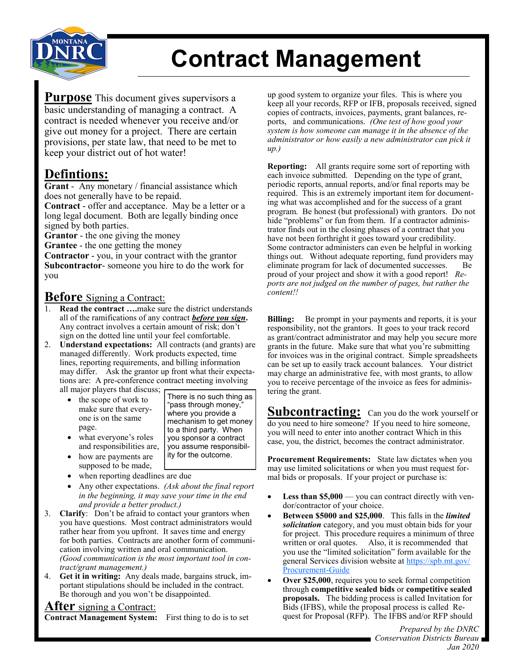

# **Contract Management**

**Purpose** This document gives supervisors a basic understanding of managing a contract. A contract is needed whenever you receive and/or give out money for a project. There are certain provisions, per state law, that need to be met to keep your district out of hot water!

### **Defintions:**

**Grant** -Any monetary / financial assistance which does not generally have to be repaid.

**Contract** - offer and acceptance. May be a letter or a long legal document. Both are legally binding once signed by both parties.

**Grantor** - the one giving the money

**Grantee** - the one getting the money

**Contractor** - you, in your contract with the grantor **Subcontractor**- someone you hire to do the work for you

#### **Before** Signing a Contract:

- Read the contract ....make sure the district understands all of the ramifications of any contract *before you sign***.**  Any contract involves a certain amount of risk; don't sign on the dotted line until your feel comfortable.
- 2. **Understand expectations:** All contracts (and grants) are managed differently. Work products expected, time lines, reporting requirements, and billing information may differ. Ask the grantor up front what their expectations are: A pre-conference contract meeting involving all major players that discuss;
	- the scope of work to make sure that everyone is on the same page.

There is no such thing as "pass through money," where you provide a mechanism to get money to a third party. When you sponsor a contract you assume responsibility for the outcome.

and responsibilities are, how are payments are supposed to be made,

what everyone's roles

- when reporting deadlines are due
- Any other expectations. *(Ask about the final report in the beginning, it may save your time in the end and provide a better product.)*
- 3. **Clarify**: Don't be afraid to contact your grantors when you have questions. Most contract administrators would rather hear from you upfront. It saves time and energy for both parties. Contracts are another form of communication involving written and oral communication. *(Good communication is the most important tool in contract/grant management.)*
- 4. **Get it in writing:** Any deals made, bargains struck, important stipulations should be included in the contract. Be thorough and you won't be disappointed.

#### **After** signing a Contract:

**Contract Management System:** First thing to do is to set

up good system to organize your files. This is where you keep all your records, RFP or IFB, proposals received, signed copies of contracts, invoices, payments, grant balances, reports, and communications. *(One test of how good your system is how someone can manage it in the absence of the administrator or how easily a new administrator can pick it up.)*

**Reporting:** All grants require some sort of reporting with each invoice submitted. Depending on the type of grant, periodic reports, annual reports, and/or final reports may be required. This is an extremely important item for documenting what was accomplished and for the success of a grant program. Be honest (but professional) with grantors. Do not hide "problems" or fun from them. If a contractor administrator finds out in the closing phases of a contract that you have not been forthright it goes toward your credibility. Some contractor administers can even be helpful in working things out. Without adequate reporting, fund providers may eliminate program for lack of documented successes. Be proud of your project and show it with a good report! *Reports are not judged on the number of pages, but rather the content!!*

**Billing:** Be prompt in your payments and reports, it is your responsibility, not the grantors. It goes to your track record as grant/contract administrator and may help you secure more grants in the future. Make sure that what you're submitting for invoices was in the original contract. Simple spreadsheets can be set up to easily track account balances. Your district may charge an administrative fee, with most grants, to allow you to receive percentage of the invoice as fees for administering the grant.

**Subcontracting:** Can you do the work yourself or do you need to hire someone? If you need to hire someone, you will need to enter into another contract Which in this case, you, the district, becomes the contract administrator.

**Procurement Requirements:** State law dictates when you may use limited solicitations or when you must request formal bids or proposals. If your project or purchase is:

- Less than \$5,000 you can contract directly with vendor/contractor of your choice.
- **Between \$5000 and \$25,000**. This falls in the *limited solicitation* category, and you must obtain bids for your for project. This procedure requires a minimum of three written or oral quotes. Also, it is recommended that you use the "limited solicitation" form available for the general Services division website at [https://spb.mt.gov/](https://spb.mt.gov/Procurement-Guide) [Procurement](https://spb.mt.gov/Procurement-Guide)-Guide
- **Over \$25,000**, requires you to seek formal competition through **competitive sealed bids** or **competitive sealed proposals.** The bidding process is called Invitation for Bids (IFBS), while the proposal process is called Request for Proposal (RFP). The IFBS and/or RFP should

*Prepared by the DNRC Conservation Districts Bureau Jan 2020*